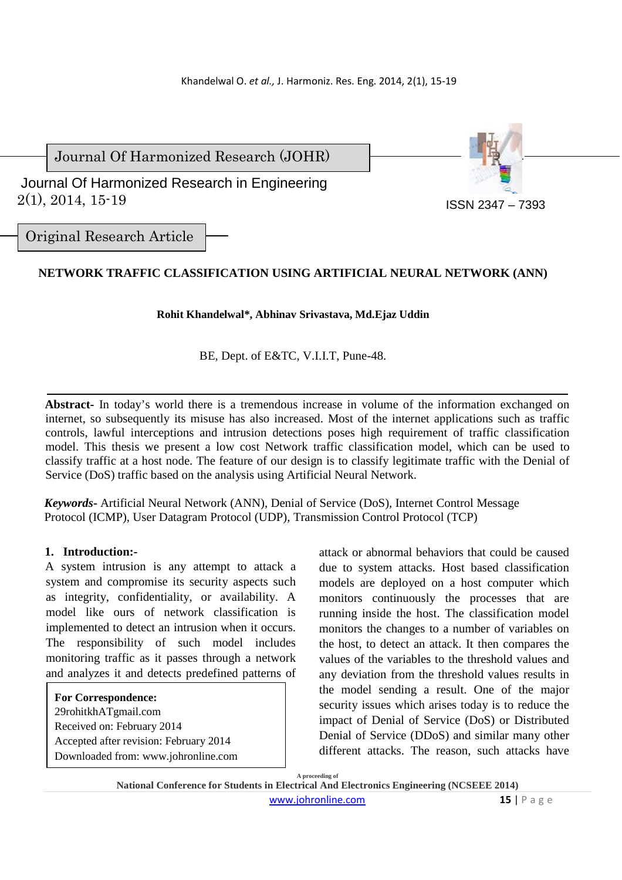Journal Of Harmonized Research (JOHR)

 2(1), 2014, 15-19 Journal Of Harmonized Research in Engineering



ISSN 2347 – 7393

Original Research Article

# **NETWORK TRAFFIC CLASSIFICATION USING ARTIFICIAL NEURAL NETWORK (ANN)**

**Rohit Khandelwal\*, Abhinav Srivastava, Md.Ejaz Uddin** 

BE, Dept. of E&TC, V.I.I.T, Pune-48.

**Abstract-** In today's world there is a tremendous increase in volume of the information exchanged on internet, so subsequently its misuse has also increased. Most of the internet applications such as traffic controls, lawful interceptions and intrusion detections poses high requirement of traffic classification model. This thesis we present a low cost Network traffic classification model, which can be used to classify traffic at a host node. The feature of our design is to classify legitimate traffic with the Denial of Service (DoS) traffic based on the analysis using Artificial Neural Network.

*Keywords***-** Artificial Neural Network (ANN), Denial of Service (DoS), Internet Control Message Protocol (ICMP), User Datagram Protocol (UDP), Transmission Control Protocol (TCP)

# **1. Introduction:-**

A system intrusion is any attempt to attack a system and compromise its security aspects such as integrity, confidentiality, or availability. A model like ours of network classification is implemented to detect an intrusion when it occurs. The responsibility of such model includes monitoring traffic as it passes through a network and analyzes it and detects predefined patterns of

**For Correspondence:**  29rohitkhATgmail.com Received on: February 2014 Accepted after revision: February 2014 Downloaded from: www.johronline.com attack or abnormal behaviors that could be caused due to system attacks. Host based classification models are deployed on a host computer which monitors continuously the processes that are running inside the host. The classification model monitors the changes to a number of variables on the host, to detect an attack. It then compares the values of the variables to the threshold values and any deviation from the threshold values results in the model sending a result. One of the major security issues which arises today is to reduce the impact of Denial of Service (DoS) or Distributed Denial of Service (DDoS) and similar many other different attacks. The reason, such attacks have

**A proceeding of National Conference for Students in Electrical And Electronics Engineering (NCSEEE 2014)**  www.johronline.com **15** | P a g e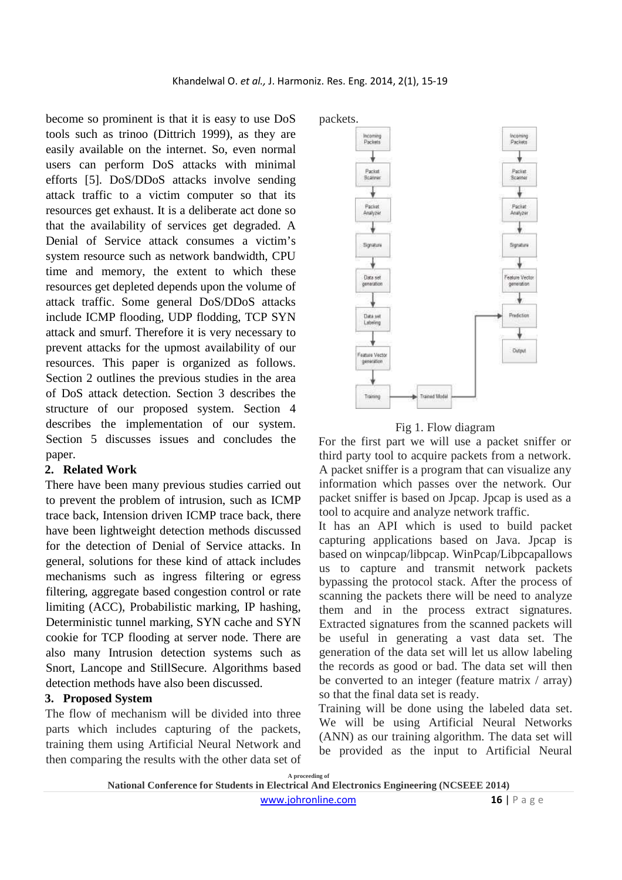become so prominent is that it is easy to use DoS tools such as trinoo (Dittrich 1999), as they are easily available on the internet. So, even normal users can perform DoS attacks with minimal efforts [5]. DoS/DDoS attacks involve sending attack traffic to a victim computer so that its resources get exhaust. It is a deliberate act done so that the availability of services get degraded. A Denial of Service attack consumes a victim's system resource such as network bandwidth, CPU time and memory, the extent to which these resources get depleted depends upon the volume of attack traffic. Some general DoS/DDoS attacks include ICMP flooding, UDP flodding, TCP SYN attack and smurf. Therefore it is very necessary to prevent attacks for the upmost availability of our resources. This paper is organized as follows. Section 2 outlines the previous studies in the area of DoS attack detection. Section 3 describes the structure of our proposed system. Section 4 describes the implementation of our system. Section 5 discusses issues and concludes the paper.

#### **2. Related Work**

There have been many previous studies carried out to prevent the problem of intrusion, such as ICMP trace back, Intension driven ICMP trace back, there have been lightweight detection methods discussed for the detection of Denial of Service attacks. In general, solutions for these kind of attack includes mechanisms such as ingress filtering or egress filtering, aggregate based congestion control or rate limiting (ACC), Probabilistic marking, IP hashing, Deterministic tunnel marking, SYN cache and SYN cookie for TCP flooding at server node. There are also many Intrusion detection systems such as Snort, Lancope and StillSecure. Algorithms based detection methods have also been discussed.

## **3. Proposed System**

The flow of mechanism will be divided into three parts which includes capturing of the packets, training them using Artificial Neural Network and then comparing the results with the other data set of



### Fig 1. Flow diagram

For the first part we will use a packet sniffer or third party tool to acquire packets from a network. A packet sniffer is a program that can visualize any information which passes over the network. Our packet sniffer is based on Jpcap. Jpcap is used as a tool to acquire and analyze network traffic.

It has an API which is used to build packet capturing applications based on Java. Jpcap is based on winpcap/libpcap. WinPcap/Libpcapallows us to capture and transmit network packets bypassing the protocol stack. After the process of scanning the packets there will be need to analyze them and in the process extract signatures. Extracted signatures from the scanned packets will be useful in generating a vast data set. The generation of the data set will let us allow labeling the records as good or bad. The data set will then be converted to an integer (feature matrix / array) so that the final data set is ready.

Training will be done using the labeled data set. We will be using Artificial Neural Networks (ANN) as our training algorithm. The data set will be provided as the input to Artificial Neural

**A proceeding of National Conference for Students in Electrical And Electronics Engineering (NCSEEE 2014)**  www.johronline.com **16** | P a g e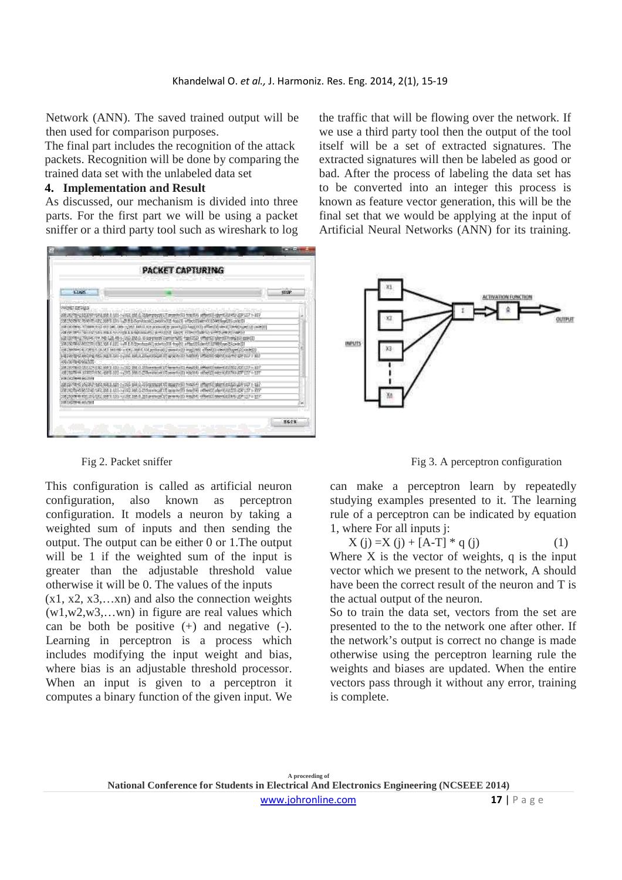Network (ANN). The saved trained output will be then used for comparison purposes.

The final part includes the recognition of the attack packets. Recognition will be done by comparing the trained data set with the unlabeled data set

### **4. Implementation and Result**

As discussed, our mechanism is divided into three parts. For the first part we will be using a packet sniffer or a third party tool such as wireshark to log



This configuration is called as artificial neuron configuration, also known as perceptron configuration. It models a neuron by taking a weighted sum of inputs and then sending the output. The output can be either 0 or 1.The output will be 1 if the weighted sum of the input is greater than the adjustable threshold value otherwise it will be 0. The values of the inputs

 $(x1, x2, x3,...xn)$  and also the connection weights (w1,w2,w3,…wn) in figure are real values which can be both be positive  $(+)$  and negative  $(-)$ . Learning in perceptron is a process which includes modifying the input weight and bias, where bias is an adjustable threshold processor. When an input is given to a perceptron it computes a binary function of the given input. We the traffic that will be flowing over the network. If we use a third party tool then the output of the tool itself will be a set of extracted signatures. The extracted signatures will then be labeled as good or bad. After the process of labeling the data set has to be converted into an integer this process is known as feature vector generation, this will be the final set that we would be applying at the input of Artificial Neural Networks (ANN) for its training.



Fig 2. Packet sniffer Fig 3. A perceptron configuration

can make a perceptron learn by repeatedly studying examples presented to it. The learning rule of a perceptron can be indicated by equation 1, where For all inputs j:

$$
X (j) = X (j) + [A-T] * q (j)
$$
 (1)

Where  $X$  is the vector of weights,  $q$  is the input vector which we present to the network, A should have been the correct result of the neuron and T is the actual output of the neuron.

So to train the data set, vectors from the set are presented to the to the network one after other. If the network's output is correct no change is made otherwise using the perceptron learning rule the weights and biases are updated. When the entire vectors pass through it without any error, training is complete.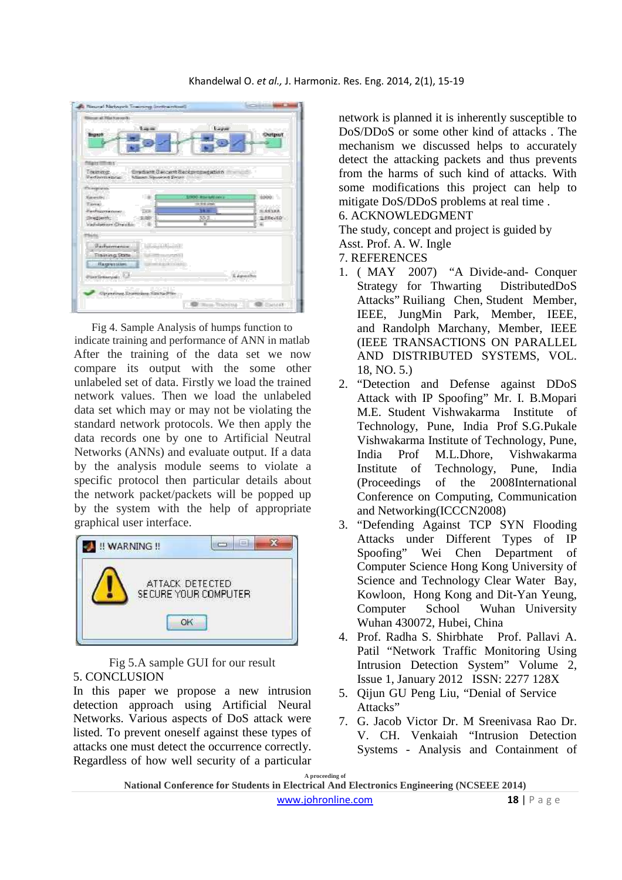| The court and Pillet Forest Pill<br>وموجول والإلا المتوافق المستوقفة |                                                               |               |
|----------------------------------------------------------------------|---------------------------------------------------------------|---------------|
| 3. ag on<br>te co<br><b>Brown of</b>                                 | Layer                                                         | <b>Output</b> |
|                                                                      | 86                                                            |               |
|                                                                      |                                                               |               |
|                                                                      |                                                               |               |
| 7 December 2014                                                      | the state and the state of the state of the state of          |               |
| Tinderlenar<br><b>Westmooregocus</b><br>William Sessenced Enters     | Considere Danzevi Baidgemansteriori<br>and the company of the |               |
|                                                                      |                                                               |               |
| Photography                                                          |                                                               |               |
| 1.189<br><b>Havenutte:</b>                                           | <b>LOOK AND MATORY</b>                                        | <b>SUMMON</b> |
| Farmer.                                                              | the strategies of                                             |               |
| Ferritagerikeunen.<br><b>TAB</b>                                     | <b>38 m</b>                                                   | 图案等连接表        |
| lined service<br><b>CORP.</b>                                        | 碎工                                                            | (L.XXw-1.0)   |
| Vadiation on Crocolin                                                | 谨                                                             | ä.            |
| ning.                                                                |                                                               |               |
| <b>Little Avenue</b><br><b>Beduarnance</b>                           |                                                               |               |
|                                                                      |                                                               |               |
| <b>Trainivos Stata</b><br><b>SEARCH</b>                              |                                                               |               |
| <b><i>Discoversions</i></b>                                          | <b>CONTRACTOR</b>                                             |               |
|                                                                      |                                                               | 1 Aproxima    |
| <b>HEY GORDAN AND LOT</b><br><b>CONTRACTOR</b>                       |                                                               |               |
|                                                                      |                                                               |               |
| Uprawing Trunches Side In File                                       |                                                               |               |

Fig 4. Sample Analysis of humps function to indicate training and performance of ANN in matlab After the training of the data set we now compare its output with the some other unlabeled set of data. Firstly we load the trained network values. Then we load the unlabeled data set which may or may not be violating the standard network protocols. We then apply the data records one by one to Artificial Neutral Networks (ANNs) and evaluate output. If a data by the analysis module seems to violate a specific protocol then particular details about the network packet/packets will be popped up by the system with the help of appropriate graphical user interface.



## Fig 5.A sample GUI for our result 5. CONCLUSION

In this paper we propose a new intrusion detection approach using Artificial Neural Networks. Various aspects of DoS attack were listed. To prevent oneself against these types of attacks one must detect the occurrence correctly. Regardless of how well security of a particular

network is planned it is inherently susceptible to DoS/DDoS or some other kind of attacks . The mechanism we discussed helps to accurately detect the attacking packets and thus prevents from the harms of such kind of attacks. With some modifications this project can help to mitigate DoS/DDoS problems at real time . 6. ACKNOWLEDGMENT

The study, concept and project is guided by

Asst. Prof. A. W. Ingle

7. REFERENCES

- 1. ( MAY 2007) "A Divide-and- Conquer Strategy for Thwarting DistributedDoS Attacks" Ruiliang Chen, Student Member, IEEE, JungMin Park, Member, IEEE, and Randolph Marchany, Member, IEEE (IEEE TRANSACTIONS ON PARALLEL AND DISTRIBUTED SYSTEMS, VOL. 18, NO. 5.)
- 2. "Detection and Defense against DDoS Attack with IP Spoofing" Mr. I. B.Mopari M.E. Student Vishwakarma Institute of Technology, Pune, India Prof S.G.Pukale Vishwakarma Institute of Technology, Pune, India Prof M.L.Dhore, Vishwakarma Institute of Technology, Pune, India (Proceedings of the 2008International Conference on Computing, Communication and Networking(ICCCN2008)
- 3. "Defending Against TCP SYN Flooding Attacks under Different Types of IP Spoofing" Wei Chen Department of Computer Science Hong Kong University of Science and Technology Clear Water Bay, Kowloon, Hong Kong and Dit-Yan Yeung, Computer School Wuhan University Wuhan 430072, Hubei, China
- 4. Prof. Radha S. Shirbhate Prof. Pallavi A. Patil "Network Traffic Monitoring Using Intrusion Detection System" Volume 2, Issue 1, January 2012 ISSN: 2277 128X
- 5. Qijun GU Peng Liu, "Denial of Service Attacks"
- 7. G. Jacob Victor Dr. M Sreenivasa Rao Dr. V. CH. Venkaiah "Intrusion Detection Systems - Analysis and Containment of

**A proceeding of National Conference for Students in Electrical And Electronics Engineering (NCSEEE 2014)**  www.johronline.com **18** | P a g e